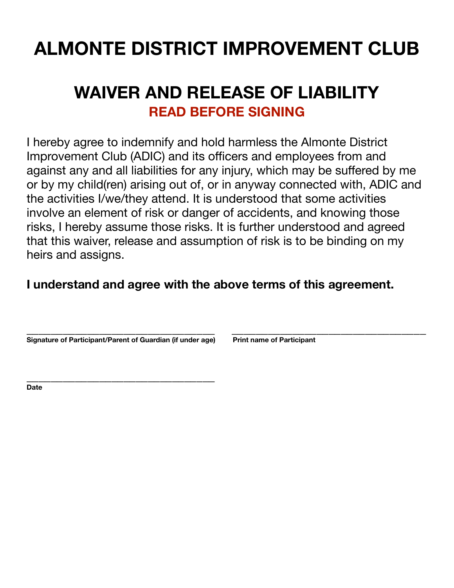## **ALMONTE DISTRICT IMPROVEMENT CLUB**

### **WAIVER AND RELEASE OF LIABILITY READ BEFORE SIGNING**

I hereby agree to indemnify and hold harmless the Almonte District Improvement Club (ADIC) and its officers and employees from and against any and all liabilities for any injury, which may be suffered by me or by my child(ren) arising out of, or in anyway connected with, ADIC and the activities I/we/they attend. It is understood that some activities involve an element of risk or danger of accidents, and knowing those risks, I hereby assume those risks. It is further understood and agreed that this waiver, release and assumption of risk is to be binding on my heirs and assigns.

#### **I understand and agree with the above terms of this agreement.**

**\_\_\_\_\_\_\_\_\_\_\_\_\_\_\_\_\_\_\_\_\_\_\_\_\_\_\_\_\_\_\_ \_\_\_\_\_\_\_\_\_\_\_\_\_\_\_\_\_\_\_\_\_\_\_\_\_\_\_\_\_\_\_\_**  Signature of Participant/Parent of Guardian (if under age) Print name of Participant

**\_\_\_\_\_\_\_\_\_\_\_\_\_\_\_\_\_\_\_\_\_\_\_\_\_\_\_\_\_\_\_ Date**